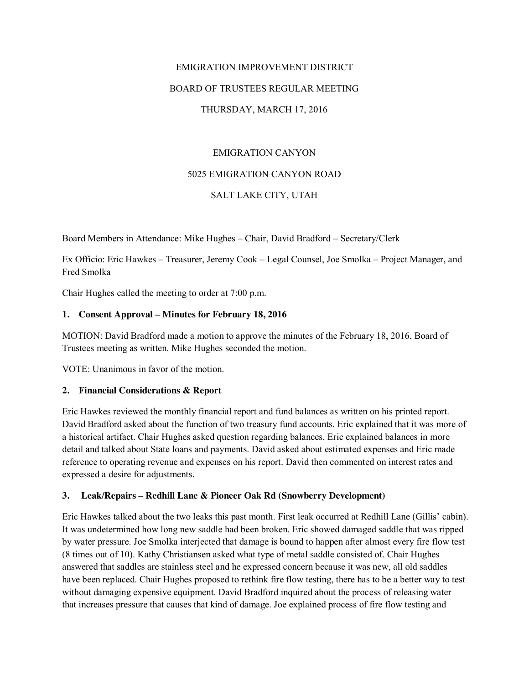# EMIGRATION IMPROVEMENT DISTRICT BOARD OF TRUSTEES REGULAR MEETING THURSDAY, MARCH 17, 2016

## EMIGRATION CANYON

#### 5025 EMIGRATION CANYON ROAD

#### SALT LAKE CITY, UTAH

Board Members in Attendance: Mike Hughes – Chair, David Bradford – Secretary/Clerk

Ex Officio: Eric Hawkes – Treasurer, Jeremy Cook – Legal Counsel, Joe Smolka – Project Manager, and Fred Smolka

Chair Hughes called the meeting to order at 7:00 p.m.

#### **1. Consent Approval – Minutes for February 18, 2016**

MOTION: David Bradford made a motion to approve the minutes of the February 18, 2016, Board of Trustees meeting as written. Mike Hughes seconded the motion.

VOTE: Unanimous in favor of the motion.

#### **2. Financial Considerations & Report**

Eric Hawkes reviewed the monthly financial report and fund balances as written on his printed report. David Bradford asked about the function of two treasury fund accounts. Eric explained that it was more of a historical artifact. Chair Hughes asked question regarding balances. Eric explained balances in more detail and talked about State loans and payments. David asked about estimated expenses and Eric made reference to operating revenue and expenses on his report. David then commented on interest rates and expressed a desire for adjustments.

#### **3. Leak/Repairs – Redhill Lane & Pioneer Oak Rd (Snowberry Development)**

Eric Hawkes talked about the two leaks this past month. First leak occurred at Redhill Lane (Gillis' cabin). It was undetermined how long new saddle had been broken. Eric showed damaged saddle that was ripped by water pressure. Joe Smolka interjected that damage is bound to happen after almost every fire flow test (8 times out of 10). Kathy Christiansen asked what type of metal saddle consisted of. Chair Hughes answered that saddles are stainless steel and he expressed concern because it was new, all old saddles have been replaced. Chair Hughes proposed to rethink fire flow testing, there has to be a better way to test without damaging expensive equipment. David Bradford inquired about the process of releasing water that increases pressure that causes that kind of damage. Joe explained process of fire flow testing and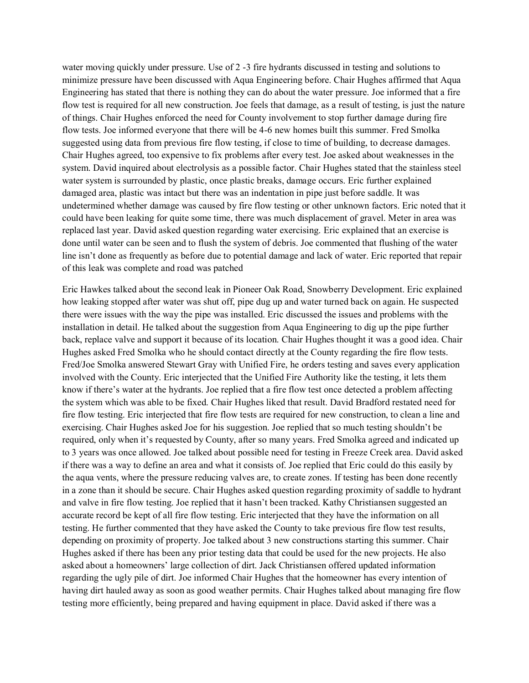water moving quickly under pressure. Use of 2 -3 fire hydrants discussed in testing and solutions to minimize pressure have been discussed with Aqua Engineering before. Chair Hughes affirmed that Aqua Engineering has stated that there is nothing they can do about the water pressure. Joe informed that a fire flow test is required for all new construction. Joe feels that damage, as a result of testing, is just the nature of things. Chair Hughes enforced the need for County involvement to stop further damage during fire flow tests. Joe informed everyone that there will be 4-6 new homes built this summer. Fred Smolka suggested using data from previous fire flow testing, if close to time of building, to decrease damages. Chair Hughes agreed, too expensive to fix problems after every test. Joe asked about weaknesses in the system. David inquired about electrolysis as a possible factor. Chair Hughes stated that the stainless steel water system is surrounded by plastic, once plastic breaks, damage occurs. Eric further explained damaged area, plastic was intact but there was an indentation in pipe just before saddle. It was undetermined whether damage was caused by fire flow testing or other unknown factors. Eric noted that it could have been leaking for quite some time, there was much displacement of gravel. Meter in area was replaced last year. David asked question regarding water exercising. Eric explained that an exercise is done until water can be seen and to flush the system of debris. Joe commented that flushing of the water line isn't done as frequently as before due to potential damage and lack of water. Eric reported that repair of this leak was complete and road was patched

Eric Hawkes talked about the second leak in Pioneer Oak Road, Snowberry Development. Eric explained how leaking stopped after water was shut off, pipe dug up and water turned back on again. He suspected there were issues with the way the pipe was installed. Eric discussed the issues and problems with the installation in detail. He talked about the suggestion from Aqua Engineering to dig up the pipe further back, replace valve and support it because of its location. Chair Hughes thought it was a good idea. Chair Hughes asked Fred Smolka who he should contact directly at the County regarding the fire flow tests. Fred/Joe Smolka answered Stewart Gray with Unified Fire, he orders testing and saves every application involved with the County. Eric interjected that the Unified Fire Authority like the testing, it lets them know if there's water at the hydrants. Joe replied that a fire flow test once detected a problem affecting the system which was able to be fixed. Chair Hughes liked that result. David Bradford restated need for fire flow testing. Eric interjected that fire flow tests are required for new construction, to clean a line and exercising. Chair Hughes asked Joe for his suggestion. Joe replied that so much testing shouldn't be required, only when it's requested by County, after so many years. Fred Smolka agreed and indicated up to 3 years was once allowed. Joe talked about possible need for testing in Freeze Creek area. David asked if there was a way to define an area and what it consists of. Joe replied that Eric could do this easily by the aqua vents, where the pressure reducing valves are, to create zones. If testing has been done recently in a zone than it should be secure. Chair Hughes asked question regarding proximity of saddle to hydrant and valve in fire flow testing. Joe replied that it hasn't been tracked. Kathy Christiansen suggested an accurate record be kept of all fire flow testing. Eric interjected that they have the information on all testing. He further commented that they have asked the County to take previous fire flow test results, depending on proximity of property. Joe talked about 3 new constructions starting this summer. Chair Hughes asked if there has been any prior testing data that could be used for the new projects. He also asked about a homeowners' large collection of dirt. Jack Christiansen offered updated information regarding the ugly pile of dirt. Joe informed Chair Hughes that the homeowner has every intention of having dirt hauled away as soon as good weather permits. Chair Hughes talked about managing fire flow testing more efficiently, being prepared and having equipment in place. David asked if there was a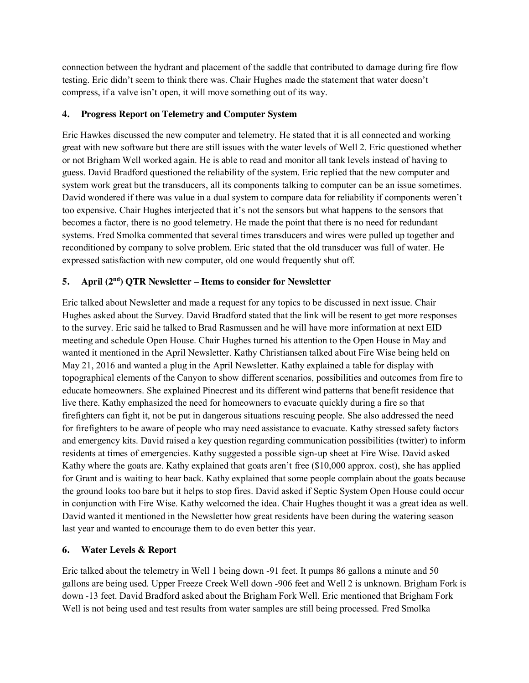connection between the hydrant and placement of the saddle that contributed to damage during fire flow testing. Eric didn't seem to think there was. Chair Hughes made the statement that water doesn't compress, if a valve isn't open, it will move something out of its way.

### **4. Progress Report on Telemetry and Computer System**

Eric Hawkes discussed the new computer and telemetry. He stated that it is all connected and working great with new software but there are still issues with the water levels of Well 2. Eric questioned whether or not Brigham Well worked again. He is able to read and monitor all tank levels instead of having to guess. David Bradford questioned the reliability of the system. Eric replied that the new computer and system work great but the transducers, all its components talking to computer can be an issue sometimes. David wondered if there was value in a dual system to compare data for reliability if components weren't too expensive. Chair Hughes interjected that it's not the sensors but what happens to the sensors that becomes a factor, there is no good telemetry. He made the point that there is no need for redundant systems. Fred Smolka commented that several times transducers and wires were pulled up together and reconditioned by company to solve problem. Eric stated that the old transducer was full of water. He expressed satisfaction with new computer, old one would frequently shut off.

## **5. April (2nd) QTR Newsletter – Items to consider for Newsletter**

Eric talked about Newsletter and made a request for any topics to be discussed in next issue. Chair Hughes asked about the Survey. David Bradford stated that the link will be resent to get more responses to the survey. Eric said he talked to Brad Rasmussen and he will have more information at next EID meeting and schedule Open House. Chair Hughes turned his attention to the Open House in May and wanted it mentioned in the April Newsletter. Kathy Christiansen talked about Fire Wise being held on May 21, 2016 and wanted a plug in the April Newsletter. Kathy explained a table for display with topographical elements of the Canyon to show different scenarios, possibilities and outcomes from fire to educate homeowners. She explained Pinecrest and its different wind patterns that benefit residence that live there. Kathy emphasized the need for homeowners to evacuate quickly during a fire so that firefighters can fight it, not be put in dangerous situations rescuing people. She also addressed the need for firefighters to be aware of people who may need assistance to evacuate. Kathy stressed safety factors and emergency kits. David raised a key question regarding communication possibilities (twitter) to inform residents at times of emergencies. Kathy suggested a possible sign-up sheet at Fire Wise. David asked Kathy where the goats are. Kathy explained that goats aren't free (\$10,000 approx. cost), she has applied for Grant and is waiting to hear back. Kathy explained that some people complain about the goats because the ground looks too bare but it helps to stop fires. David asked if Septic System Open House could occur in conjunction with Fire Wise. Kathy welcomed the idea. Chair Hughes thought it was a great idea as well. David wanted it mentioned in the Newsletter how great residents have been during the watering season last year and wanted to encourage them to do even better this year.

# **6. Water Levels & Report**

Eric talked about the telemetry in Well 1 being down -91 feet. It pumps 86 gallons a minute and 50 gallons are being used. Upper Freeze Creek Well down -906 feet and Well 2 is unknown. Brigham Fork is down -13 feet. David Bradford asked about the Brigham Fork Well. Eric mentioned that Brigham Fork Well is not being used and test results from water samples are still being processed. Fred Smolka